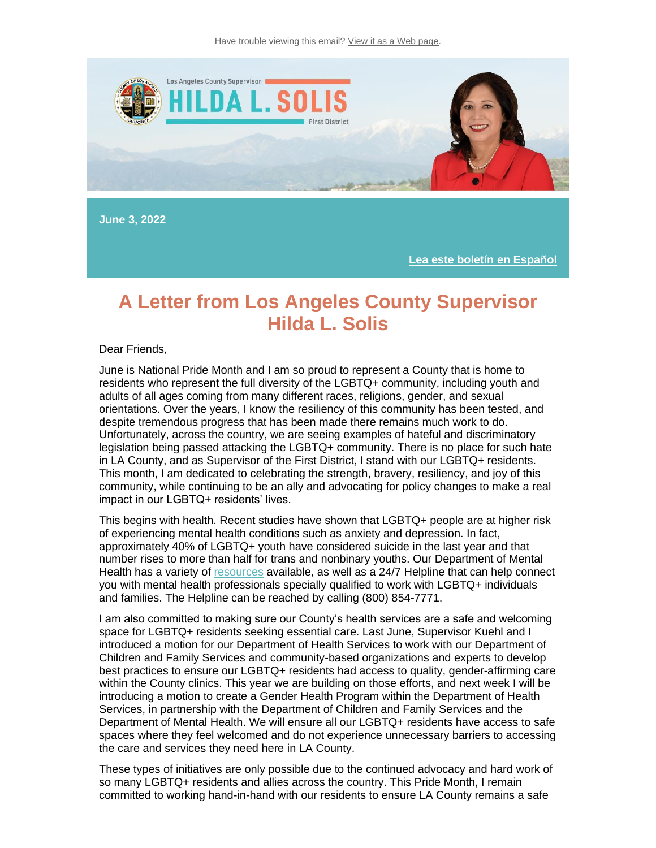

**June 3, 2022**

**[Lea este boletín en Español](https://nam12.safelinks.protection.outlook.com/?url=https%3A%2F%2Flnks.gd%2Fl%2FeyJhbGciOiJIUzI1NiJ9.eyJidWxsZXRpbl9saW5rX2lkIjoxMDEsInVyaSI6ImJwMjpjbGljayIsImJ1bGxldGluX2lkIjoiMjAyMjA2MDQuNTg5MDIxNDEiLCJ1cmwiOiJodHRwczovL3RyYW5zbGF0ZS5nb29nbGUuY29tL3RyYW5zbGF0ZT9obD1lbiZzbD1lbiZ0bD1lcyZ1PWh0dHBzJTNBJTJGJTJGY29udGVudC5nb3ZkZWxpdmVyeS5jb20lMkZhY2NvdW50cyUyRkNBTEFDT1VOVFklMkZidWxsZXRpbnMlMkYzMWE1ZGEwJnV0bV9jb250ZW50PSZ1dG1fbWVkaXVtPWVtYWlsJnV0bV9uYW1lPSZ1dG1fc291cmNlPWdvdmRlbGl2ZXJ5JnV0bV90ZXJtPSJ9.G9T-6r5BceH709L7lyzgMuLx52PF5lcObSmNMX9ABXM%2Fs%2F1843900806%2Fbr%2F132429764395-l&data=05%7C01%7C%7C928dbf08d60b4537966408da468eecdd%7C84df9e7fe9f640afb435aaaaaaaaaaaa%7C1%7C0%7C637899876931284461%7CUnknown%7CTWFpbGZsb3d8eyJWIjoiMC4wLjAwMDAiLCJQIjoiV2luMzIiLCJBTiI6Ik1haWwiLCJXVCI6Mn0%3D%7C3000%7C%7C%7C&sdata=L%2B9YuXRdYSxfBnAf%2BrITRftLXOzXUA%2BPhURk%2FM3e1us%3D&reserved=0)**

#### **A Letter from Los Angeles County Supervisor Hilda L. Solis**

#### Dear Friends,

June is National Pride Month and I am so proud to represent a County that is home to residents who represent the full diversity of the LGBTQ+ community, including youth and adults of all ages coming from many different races, religions, gender, and sexual orientations. Over the years, I know the resiliency of this community has been tested, and despite tremendous progress that has been made there remains much work to do. Unfortunately, across the country, we are seeing examples of hateful and discriminatory legislation being passed attacking the LGBTQ+ community. There is no place for such hate in LA County, and as Supervisor of the First District, I stand with our LGBTQ+ residents. This month, I am dedicated to celebrating the strength, bravery, resiliency, and joy of this community, while continuing to be an ally and advocating for policy changes to make a real impact in our LGBTQ+ residents' lives.

This begins with health. Recent studies have shown that LGBTQ+ people are at higher risk of experiencing mental health conditions such as anxiety and depression. In fact, approximately 40% of LGBTQ+ youth have considered suicide in the last year and that number rises to more than half for trans and nonbinary youths. Our Department of Mental Health has a variety of [resources](https://nam12.safelinks.protection.outlook.com/?url=https%3A%2F%2Flnks.gd%2Fl%2FeyJhbGciOiJIUzI1NiJ9.eyJidWxsZXRpbl9saW5rX2lkIjoxMDIsInVyaSI6ImJwMjpjbGljayIsImJ1bGxldGluX2lkIjoiMjAyMjA2MDQuNTg5MDIxNDEiLCJ1cmwiOiJodHRwczovL2RtaC5sYWNvdW50eS5nb3YvcmVzb3VyY2VzL2xnYnRxLXJlc291cmNlcy8_dXRtX2NvbnRlbnQ9JnV0bV9tZWRpdW09ZW1haWwmdXRtX25hbWU9JnV0bV9zb3VyY2U9Z292ZGVsaXZlcnkmdXRtX3Rlcm09Izp-OnRleHQ9T3VyJTIwZGVwYXJ0bWVudCUyMHN0YW5kcyUyMHJlYWR5JTIwdG8sd2l0aCUyMExHQlRRJTJCJTIwaW5kaXZpZHVhbHMlMjBhbmQlMjBmYW1pbGllcy4ifQ.OaAMDDJJKnZMWh_aYDVpnb1qqFM4Ciw-Rrzwfc2iElc%2Fs%2F1843900806%2Fbr%2F132429764395-l&data=05%7C01%7C%7C928dbf08d60b4537966408da468eecdd%7C84df9e7fe9f640afb435aaaaaaaaaaaa%7C1%7C0%7C637899876931284461%7CUnknown%7CTWFpbGZsb3d8eyJWIjoiMC4wLjAwMDAiLCJQIjoiV2luMzIiLCJBTiI6Ik1haWwiLCJXVCI6Mn0%3D%7C3000%7C%7C%7C&sdata=PG%2F0A6IYR2QD%2FaTmOQ5zEkM3nMZQP9TM2jH%2BrDu4pWI%3D&reserved=0) available, as well as a 24/7 Helpline that can help connect you with mental health professionals specially qualified to work with LGBTQ+ individuals and families. The Helpline can be reached by calling (800) 854-7771.

I am also committed to making sure our County's health services are a safe and welcoming space for LGBTQ+ residents seeking essential care. Last June, Supervisor Kuehl and I introduced a motion for our Department of Health Services to work with our Department of Children and Family Services and community-based organizations and experts to develop best practices to ensure our LGBTQ+ residents had access to quality, gender-affirming care within the County clinics. This year we are building on those efforts, and next week I will be introducing a motion to create a Gender Health Program within the Department of Health Services, in partnership with the Department of Children and Family Services and the Department of Mental Health. We will ensure all our LGBTQ+ residents have access to safe spaces where they feel welcomed and do not experience unnecessary barriers to accessing the care and services they need here in LA County.

These types of initiatives are only possible due to the continued advocacy and hard work of so many LGBTQ+ residents and allies across the country. This Pride Month, I remain committed to working hand-in-hand with our residents to ensure LA County remains a safe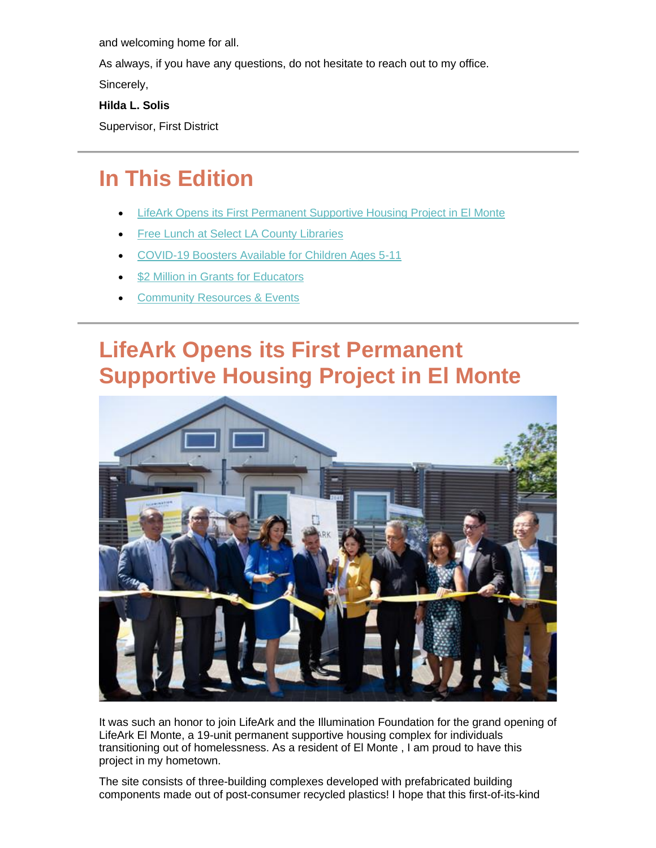and welcoming home for all.

As always, if you have any questions, do not hesitate to reach out to my office.

Sincerely,

#### **Hilda L. Solis**

Supervisor, First District

## **In This Edition**

- **[LifeArk Opens its First Permanent Supportive Housing Project in El Monte](https://outlook.live.com/mail/0/inbox/id/AQMkADAwATExADVmOC02OTRhLTIwZmYALTAwAi0wMAoARgAAAzpmvov7Kq9NuhcF%2BU9kz1MHAMvvNMrr71RLqV4kq2zl348AAAIBDAAAAMvvNMrr71RLqV4kq2zl348ABV0tmt0AAAA%3D#x_link_5)**
- [Free Lunch at Select LA County Libraries](https://outlook.live.com/mail/0/inbox/id/AQMkADAwATExADVmOC02OTRhLTIwZmYALTAwAi0wMAoARgAAAzpmvov7Kq9NuhcF%2BU9kz1MHAMvvNMrr71RLqV4kq2zl348AAAIBDAAAAMvvNMrr71RLqV4kq2zl348ABV0tmt0AAAA%3D#x_link_6)
- [COVID-19 Boosters Available for Children Ages 5-11](https://outlook.live.com/mail/0/inbox/id/AQMkADAwATExADVmOC02OTRhLTIwZmYALTAwAi0wMAoARgAAAzpmvov7Kq9NuhcF%2BU9kz1MHAMvvNMrr71RLqV4kq2zl348AAAIBDAAAAMvvNMrr71RLqV4kq2zl348ABV0tmt0AAAA%3D#x_link_4)
- [\\$2 Million in Grants for Educators](https://outlook.live.com/mail/0/inbox/id/AQMkADAwATExADVmOC02OTRhLTIwZmYALTAwAi0wMAoARgAAAzpmvov7Kq9NuhcF%2BU9kz1MHAMvvNMrr71RLqV4kq2zl348AAAIBDAAAAMvvNMrr71RLqV4kq2zl348ABV0tmt0AAAA%3D#x_link_2)
- **[Community Resources & Events](https://outlook.live.com/mail/0/inbox/id/AQMkADAwATExADVmOC02OTRhLTIwZmYALTAwAi0wMAoARgAAAzpmvov7Kq9NuhcF%2BU9kz1MHAMvvNMrr71RLqV4kq2zl348AAAIBDAAAAMvvNMrr71RLqV4kq2zl348ABV0tmt0AAAA%3D#x_link_1)**

## **LifeArk Opens its First Permanent Supportive Housing Project in El Monte**



It was such an honor to join LifeArk and the Illumination Foundation for the grand opening of LifeArk El Monte, a 19-unit permanent supportive housing complex for individuals transitioning out of homelessness. As a resident of El Monte , I am proud to have this project in my hometown.

The site consists of three-building complexes developed with prefabricated building components made out of post-consumer recycled plastics! I hope that this first-of-its-kind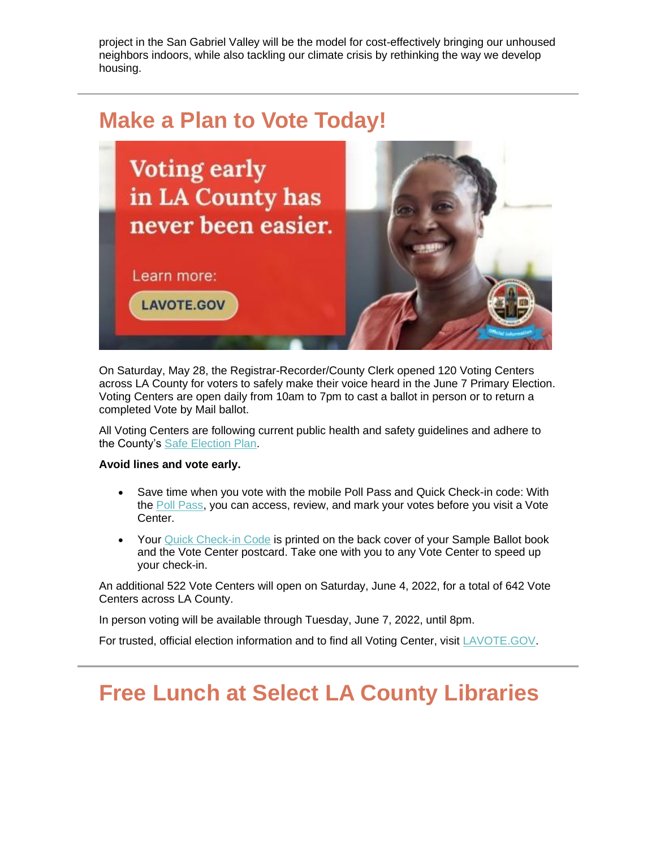project in the San Gabriel Valley will be the model for cost-effectively bringing our unhoused neighbors indoors, while also tackling our climate crisis by rethinking the way we develop housing.

### **Make a Plan to Vote Today!**



On Saturday, May 28, the Registrar-Recorder/County Clerk opened 120 Voting Centers across LA County for voters to safely make their voice heard in the June 7 Primary Election. Voting Centers are open daily from 10am to 7pm to cast a ballot in person or to return a completed Vote by Mail ballot.

All Voting Centers are following current public health and safety guidelines and adhere to the County's [Safe Election Plan.](https://nam12.safelinks.protection.outlook.com/?url=https%3A%2F%2Flnks.gd%2Fl%2FeyJhbGciOiJIUzI1NiJ9.eyJidWxsZXRpbl9saW5rX2lkIjoxMTMsInVyaSI6ImJwMjpjbGljayIsImJ1bGxldGluX2lkIjoiMjAyMjA2MDIuNTg4MzI1NzEiLCJ1cmwiOiJodHRwczovL3d3dy5sYXZvdGUuZ292L2RvY3MvcnJjYy9lbGVjdGlvbi1pbmZvL1NhZmUtRWxlY3Rpb24tUGxhbi5wZGY_dXRtX2NvbnRlbnQ9JnV0bV9tZWRpdW09ZW1haWwmdXRtX25hbWU9JnV0bV9zb3VyY2U9Z292ZGVsaXZlcnkmdXRtX3Rlcm09JnY9MiJ9.tF5YJ02IQYRJ3fmxxYjla4ueByyuvGsZRnB_iFnrYQ4%2Fs%2F992823064%2Fbr%2F132331043612-l%3Futm_content%3D%26utm_medium%3Demail%26utm_name%3D%26utm_source%3Dgovdelivery%26utm_term%3D&data=05%7C01%7C%7C928dbf08d60b4537966408da468eecdd%7C84df9e7fe9f640afb435aaaaaaaaaaaa%7C1%7C0%7C637899876931284461%7CUnknown%7CTWFpbGZsb3d8eyJWIjoiMC4wLjAwMDAiLCJQIjoiV2luMzIiLCJBTiI6Ik1haWwiLCJXVCI6Mn0%3D%7C3000%7C%7C%7C&sdata=0E3RLV7WJsX6vYrhsZTxm52VDufbEPZ1ILcIeRr45MI%3D&reserved=0)

#### **Avoid lines and vote early.**

- Save time when you vote with the mobile Poll Pass and Quick Check-in code: With the [Poll Pass,](https://nam12.safelinks.protection.outlook.com/?url=https%3A%2F%2Flnks.gd%2Fl%2FeyJhbGciOiJIUzI1NiJ9.eyJidWxsZXRpbl9saW5rX2lkIjoxMTQsInVyaSI6ImJwMjpjbGljayIsImJ1bGxldGluX2lkIjoiMjAyMjA2MDIuNTg4MzI1NzEiLCJ1cmwiOiJodHRwczovL2lzYi5sYXZvdGUubmV0Lz91dG1fY29udGVudD0mdXRtX21lZGl1bT1lbWFpbCZ1dG1fbmFtZT0mdXRtX3NvdXJjZT1nb3ZkZWxpdmVyeSZ1dG1fdGVybT0ifQ.y1S8-d_hHnCLHWDdTcO5v5Ef1Bjo8n8MIXCzWW7bjJE%2Fs%2F992823064%2Fbr%2F132331043612-l%3Futm_content%3D%26utm_medium%3Demail%26utm_name%3D%26utm_source%3Dgovdelivery%26utm_term%3D&data=05%7C01%7C%7C928dbf08d60b4537966408da468eecdd%7C84df9e7fe9f640afb435aaaaaaaaaaaa%7C1%7C0%7C637899876931284461%7CUnknown%7CTWFpbGZsb3d8eyJWIjoiMC4wLjAwMDAiLCJQIjoiV2luMzIiLCJBTiI6Ik1haWwiLCJXVCI6Mn0%3D%7C3000%7C%7C%7C&sdata=%2BRG0KTybShTKzqsvuT6P%2B%2B0tjU9wuNSriTZvwSi1HA4%3D&reserved=0) you can access, review, and mark your votes before you visit a Vote Center.
- Your [Quick Check-in Code](https://nam12.safelinks.protection.outlook.com/?url=https%3A%2F%2Flnks.gd%2Fl%2FeyJhbGciOiJIUzI1NiJ9.eyJidWxsZXRpbl9saW5rX2lkIjoxMTUsInVyaSI6ImJwMjpjbGljayIsImJ1bGxldGluX2lkIjoiMjAyMjA2MDIuNTg4MzI1NzEiLCJ1cmwiOiJodHRwczovL2xhdm90ZS5nb3YvdnJzdGF0dXMvP3V0bV9jb250ZW50PSZ1dG1fbWVkaXVtPWVtYWlsJnV0bV9uYW1lPSZ1dG1fc291cmNlPWdvdmRlbGl2ZXJ5JnV0bV90ZXJtPSJ9.LC7mBvtNGhpRphGsEN46GCE5_kLYzYJnjnLyJF32tpA%2Fs%2F992823064%2Fbr%2F132331043612-l%3Futm_content%3D%26utm_medium%3Demail%26utm_name%3D%26utm_source%3Dgovdelivery%26utm_term%3D&data=05%7C01%7C%7C928dbf08d60b4537966408da468eecdd%7C84df9e7fe9f640afb435aaaaaaaaaaaa%7C1%7C0%7C637899876931284461%7CUnknown%7CTWFpbGZsb3d8eyJWIjoiMC4wLjAwMDAiLCJQIjoiV2luMzIiLCJBTiI6Ik1haWwiLCJXVCI6Mn0%3D%7C3000%7C%7C%7C&sdata=TGrrC45Xowx3RHgUSHW6%2FCxMPdHXmGMUR6kEj0z3J88%3D&reserved=0) is printed on the back cover of your Sample Ballot book and the Vote Center postcard. Take one with you to any Vote Center to speed up your check-in.

An additional 522 Vote Centers will open on Saturday, June 4, 2022, for a total of 642 Vote Centers across LA County.

In person voting will be available through Tuesday, June 7, 2022, until 8pm.

For trusted, official election information and to find all Voting Center, visit [LAVOTE.GOV.](https://nam12.safelinks.protection.outlook.com/?url=https%3A%2F%2Flnks.gd%2Fl%2FeyJhbGciOiJIUzI1NiJ9.eyJidWxsZXRpbl9saW5rX2lkIjoxMTYsInVyaSI6ImJwMjpjbGljayIsImJ1bGxldGluX2lkIjoiMjAyMjA2MDIuNTg4MzI1NzEiLCJ1cmwiOiJodHRwczovL3d3dy5sYXZvdGUuZ292L2hvbWUvdm90aW5nLWVsZWN0aW9ucy92b3Rpbmctb3B0aW9ucy92b3RpbmctaW4tcGVyc29uP3V0bV9jb250ZW50PSZ1dG1fbWVkaXVtPWVtYWlsJnV0bV9uYW1lPSZ1dG1fc291cmNlPWdvdmRlbGl2ZXJ5JnV0bV90ZXJtPSJ9.3SL64h-Y6rQ3J11c-7UO2ndRDxcqMiRmz1qnH7wsMAY%2Fs%2F992823064%2Fbr%2F132331043612-l%3Futm_content%3D%26utm_medium%3Demail%26utm_name%3D%26utm_source%3Dgovdelivery%26utm_term%3D&data=05%7C01%7C%7C928dbf08d60b4537966408da468eecdd%7C84df9e7fe9f640afb435aaaaaaaaaaaa%7C1%7C0%7C637899876931284461%7CUnknown%7CTWFpbGZsb3d8eyJWIjoiMC4wLjAwMDAiLCJQIjoiV2luMzIiLCJBTiI6Ik1haWwiLCJXVCI6Mn0%3D%7C3000%7C%7C%7C&sdata=V%2F3v55hQM%2F7fiWj3veiXuHXafxtXMyagYfTavFN5E4Y%3D&reserved=0)

## **Free Lunch at Select LA County Libraries**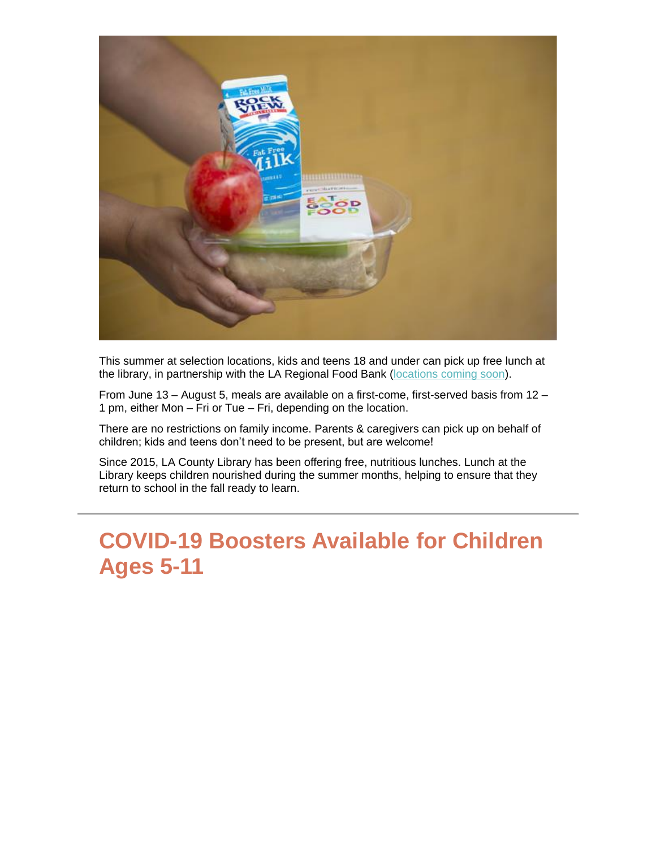

This summer at selection locations, kids and teens 18 and under can pick up free lunch at the library, in partnership with the LA Regional Food Bank [\(locations coming soon\)](https://nam12.safelinks.protection.outlook.com/?url=https%3A%2F%2Flnks.gd%2Fl%2FeyJhbGciOiJIUzI1NiJ9.eyJidWxsZXRpbl9saW5rX2lkIjoxMDMsInVyaSI6ImJwMjpjbGljayIsImJ1bGxldGluX2lkIjoiMjAyMjA2MDQuNTg5MDIxNDEiLCJ1cmwiOiJodHRwczovL2xhY291bnR5bGlicmFyeS5vcmcvc3VtbWVybHVuY2gvP3V0bV9jb250ZW50PSZ1dG1fbWVkaXVtPWVtYWlsJnV0bV9uYW1lPSZ1dG1fc291cmNlPWdvdmRlbGl2ZXJ5JnV0bV90ZXJtPSJ9.ilwxNwEBMEWagHUg-ilk0ggLT2U02ql1M5q1tXhmPMc%2Fs%2F1843900806%2Fbr%2F132429764395-l&data=05%7C01%7C%7C928dbf08d60b4537966408da468eecdd%7C84df9e7fe9f640afb435aaaaaaaaaaaa%7C1%7C0%7C637899876931284461%7CUnknown%7CTWFpbGZsb3d8eyJWIjoiMC4wLjAwMDAiLCJQIjoiV2luMzIiLCJBTiI6Ik1haWwiLCJXVCI6Mn0%3D%7C3000%7C%7C%7C&sdata=u0RUngvSfri47zjNnRsAhmqEzrat5CXJ%2F8H2WXdY770%3D&reserved=0).

From June 13 – August 5, meals are available on a first-come, first-served basis from 12 – 1 pm, either Mon – Fri or Tue – Fri, depending on the location.

There are no restrictions on family income. Parents & caregivers can pick up on behalf of children; kids and teens don't need to be present, but are welcome!

Since 2015, LA County Library has been offering free, nutritious lunches. Lunch at the Library keeps children nourished during the summer months, helping to ensure that they return to school in the fall ready to learn.

### **COVID-19 Boosters Available for Children Ages 5-11**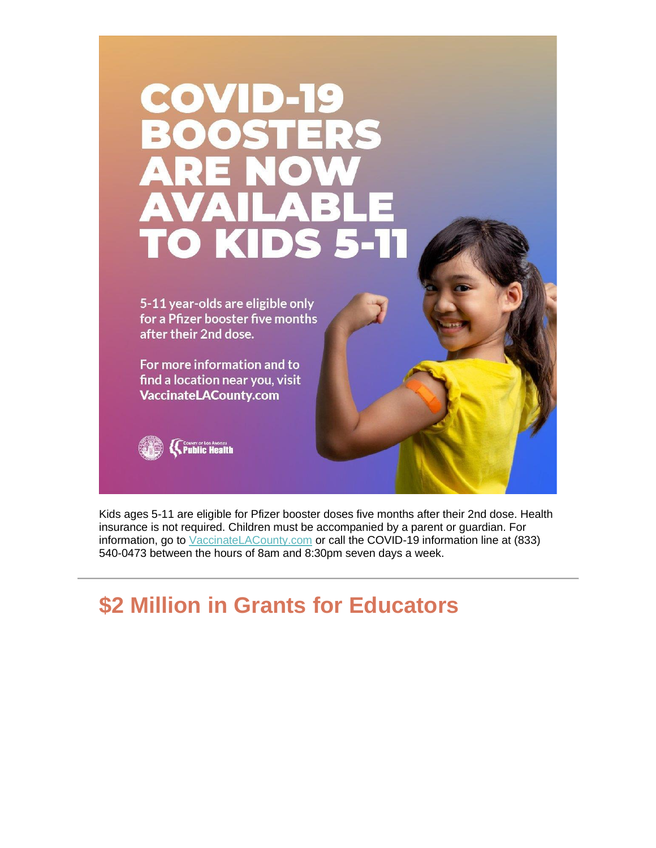# COVID- $\mathbb{R}^3$  $\sqrt{2}$ DE ITO

5-11 year-olds are eligible only for a Pfizer booster five months after their 2nd dose.

For more information and to find a location near you, visit **VaccinateLACounty.com** 



Kids ages 5-11 are eligible for Pfizer booster doses five months after their 2nd dose. Health insurance is not required. Children must be accompanied by a parent or guardian. For information, go to [VaccinateLACounty.com](https://nam12.safelinks.protection.outlook.com/?url=https%3A%2F%2Flnks.gd%2Fl%2FeyJhbGciOiJIUzI1NiJ9.eyJidWxsZXRpbl9saW5rX2lkIjoxMDQsInVyaSI6ImJwMjpjbGljayIsImJ1bGxldGluX2lkIjoiMjAyMjA2MDQuNTg5MDIxNDEiLCJ1cmwiOiJodHRwczovL2xua3MuZ2QvbC9leUpoYkdjaU9pSklVekkxTmlKOS5leUppZFd4c1pYUnBibDlzYVc1clgybGtJam94TURFc0luVnlhU0k2SW1Kd01qcGpiR2xqYXlJc0ltSjFiR3hsZEdsdVgybGtJam9pTWpBeU1qQTFNekV1TlRnMk9UYzBNekVpTENKMWNtd2lPaUpvZEhSd09pOHZkbUZqWTJsdVlYUmxiR0ZqYjNWdWRIa3VZMjl0THo5MWRHMWZZMjl1ZEdWdWREMG1kWFJ0WDIxbFpHbDFiVDFsYldGcGJDWjFkRzFmYm1GdFpUMG1kWFJ0WDNOdmRYSmpaVDFuYjNaa1pXeHBkbVZ5ZVNaMWRHMWZkR1Z5YlQwaWZRLi1DMjZmY3dhdTlCcUI5UVFJTENnZEk0T0wxeXFVZUxkVXBRMXVCN0M0SjAvcy8xNDIwOTk2MTI5L2JyLzEzMjE3NTAzMjQxOS1sP3V0bV9jb250ZW50PSZ1dG1fbWVkaXVtPWVtYWlsJnV0bV9uYW1lPSZ1dG1fc291cmNlPWdvdmRlbGl2ZXJ5JnV0bV90ZXJtPSJ9.JcKP-6jJGRX-KZYpxHBPc4yVgfnTbUk1CRm6TxZhP6Y%2Fs%2F1843900806%2Fbr%2F132429764395-l&data=05%7C01%7C%7C928dbf08d60b4537966408da468eecdd%7C84df9e7fe9f640afb435aaaaaaaaaaaa%7C1%7C0%7C637899876931284461%7CUnknown%7CTWFpbGZsb3d8eyJWIjoiMC4wLjAwMDAiLCJQIjoiV2luMzIiLCJBTiI6Ik1haWwiLCJXVCI6Mn0%3D%7C3000%7C%7C%7C&sdata=yGVvBWJqTkFSOllVchGex2eLTG2n18tdVE%2BxWoTuaJU%3D&reserved=0) or call the COVID-19 information line at (833) 540-0473 between the hours of 8am and 8:30pm seven days a week.

### **\$2 Million in Grants for Educators**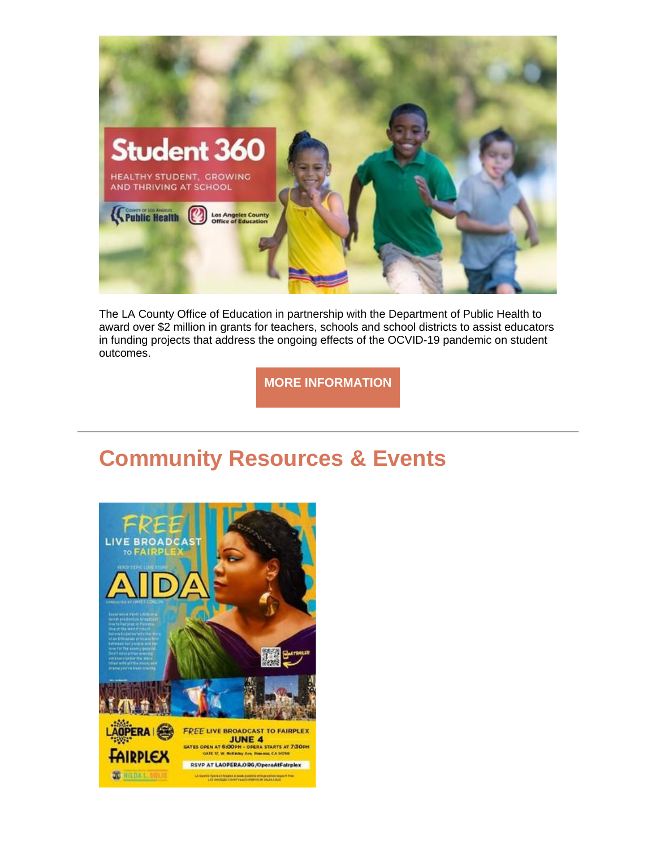

The LA County Office of Education in partnership with the Department of Public Health to award over \$2 million in grants for teachers, schools and school districts to assist educators in funding projects that address the ongoing effects of the OCVID-19 pandemic on student outcomes.

**[MORE INFORMATION](https://nam12.safelinks.protection.outlook.com/?url=https%3A%2F%2Flnks.gd%2Fl%2FeyJhbGciOiJIUzI1NiJ9.eyJidWxsZXRpbl9saW5rX2lkIjoxMDUsInVyaSI6ImJwMjpjbGljayIsImJ1bGxldGluX2lkIjoiMjAyMjA2MDQuNTg5MDIxNDEiLCJ1cmwiOiJodHRwczovL2RvY3MuZ29vZ2xlLmNvbS9mb3Jtcy9kL2UvMUZBSXBRTFNlWkJ4SV9ZcFFQNHU5Zk5SNk1LaGNTd3A2eEgxWm1PZC1ydHozaUlwVkRjdGhmakEvdmlld2Zvcm0_dXRtX2NvbnRlbnQ9JnV0bV9tZWRpdW09ZW1haWwmdXRtX25hbWU9JnV0bV9zb3VyY2U9Z292ZGVsaXZlcnkmdXRtX3Rlcm09In0.zJVzB1XBbc68FQGl2GdWvDcg5mukn5SQYRLiaRJEuto%2Fs%2F1843900806%2Fbr%2F132429764395-l&data=05%7C01%7C%7C928dbf08d60b4537966408da468eecdd%7C84df9e7fe9f640afb435aaaaaaaaaaaa%7C1%7C0%7C637899876931440681%7CUnknown%7CTWFpbGZsb3d8eyJWIjoiMC4wLjAwMDAiLCJQIjoiV2luMzIiLCJBTiI6Ik1haWwiLCJXVCI6Mn0%3D%7C3000%7C%7C%7C&sdata=KTV5BwqHMEFDfDIeFXFoVRx6Y45%2BwWDZWCgLc0x8Xac%3D&reserved=0)**

### **Community Resources & Events**